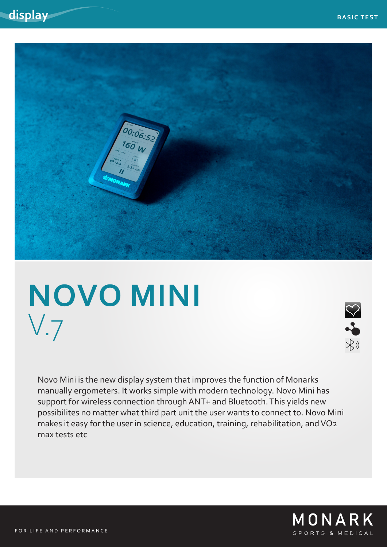

# **NOVO MINI** V.7



Novo Mini is the new display system that improves the function of Monarks manually ergometers. It works simple with modern technology. Novo Mini has support for wireless connection through ANT+ and Bluetooth. This yields new possibilites no matter what third part unit the user wants to connect to. Novo Mini makes it easy for the user in science, education, training, rehabilitation, and VO2 max tests etc